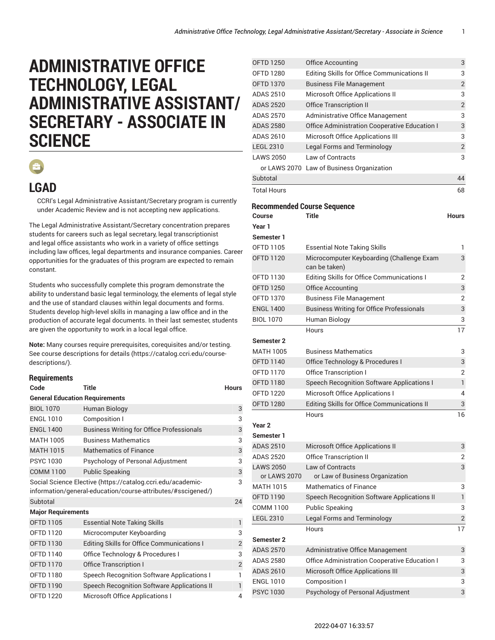## **ADMINISTRATIVE OFFICE TECHNOLOGY, LEGAL ADMINISTRATIVE ASSISTANT/ SECRETARY - ASSOCIATE IN SCIENCE**



## **LGAD**

CCRI's Legal Administrative Assistant/Secretary program is currently under Academic Review and is not accepting new applications.

The Legal Administrative Assistant/Secretary concentration prepares students for careers such as legal secretary, legal transcriptionist and legal office assistants who work in a variety of office settings including law offices, legal departments and insurance companies. Career opportunities for the graduates of this program are expected to remain constant.

Students who successfully complete this program demonstrate the ability to understand basic legal terminology, the elements of legal style and the use of standard clauses within legal documents and forms. Students develop high-level skills in managing a law office and in the production of accurate legal documents. In their last semester, students are given the opportunity to work in a local legal office.

**Note:** Many courses require prerequisites, corequisites and/or testing. [See course descriptions for details](https://catalog.ccri.edu/course-descriptions/) [\(https://catalog.ccri.edu/course](https://catalog.ccri.edu/course-descriptions/)[descriptions/\)](https://catalog.ccri.edu/course-descriptions/).

## **Requirements**

| Code                                  | Title                                                                                                                       | <b>Hours</b>   |  |  |
|---------------------------------------|-----------------------------------------------------------------------------------------------------------------------------|----------------|--|--|
| <b>General Education Requirements</b> |                                                                                                                             |                |  |  |
| <b>BIOL 1070</b>                      | Human Biology                                                                                                               | 3              |  |  |
| <b>ENGL 1010</b>                      | Composition I                                                                                                               | 3              |  |  |
| <b>ENGL 1400</b>                      | <b>Business Writing for Office Professionals</b>                                                                            | 3              |  |  |
| <b>MATH 1005</b>                      | <b>Business Mathematics</b>                                                                                                 | 3              |  |  |
| <b>MATH 1015</b>                      | <b>Mathematics of Finance</b>                                                                                               | 3              |  |  |
| <b>PSYC 1030</b>                      | Psychology of Personal Adjustment                                                                                           | 3              |  |  |
| <b>COMM 1100</b>                      | <b>Public Speaking</b>                                                                                                      | 3              |  |  |
|                                       | Social Science Elective (https://catalog.ccri.edu/academic-<br>information/general-education/course-attributes/#sscigened/) | 3              |  |  |
| Subtotal                              |                                                                                                                             | 24             |  |  |
| <b>Major Requirements</b>             |                                                                                                                             |                |  |  |
| <b>OFTD 1105</b>                      | <b>Essential Note Taking Skills</b>                                                                                         | $\mathbf{1}$   |  |  |
| <b>OFTD 1120</b>                      | Microcomputer Keyboarding                                                                                                   | 3              |  |  |
| <b>OFTD 1130</b>                      | Editing Skills for Office Communications I                                                                                  | $\overline{2}$ |  |  |
| OFTD 1140                             | Office Technology & Procedures I                                                                                            | 3              |  |  |
| <b>OFTD 1170</b>                      | <b>Office Transcription I</b>                                                                                               | $\overline{2}$ |  |  |
| <b>OFTD 1180</b>                      | Speech Recognition Software Applications I                                                                                  | 1              |  |  |
| <b>OFTD 1190</b>                      | Speech Recognition Software Applications II                                                                                 | 1              |  |  |
| <b>OFTD 1220</b>                      | <b>Microsoft Office Applications I</b>                                                                                      | 4              |  |  |

| <b>OFTD 1250</b>                   | Office Accounting                                 | 3              |
|------------------------------------|---------------------------------------------------|----------------|
| <b>OFTD 1280</b>                   | Editing Skills for Office Communications II       | 3              |
| <b>OFTD 1370</b>                   | <b>Business File Management</b>                   | $\overline{2}$ |
| ADAS 2510                          | <b>Microsoft Office Applications II</b>           | 3              |
| <b>ADAS 2520</b>                   | <b>Office Transcription II</b>                    | $\overline{2}$ |
| <b>ADAS 2570</b>                   | Administrative Office Management                  | 3              |
| <b>ADAS 2580</b>                   | Office Administration Cooperative Education I     | 3              |
| ADAS 2610                          | <b>Microsoft Office Applications III</b>          | 3              |
| <b>LEGL 2310</b>                   | <b>Legal Forms and Terminology</b>                | $\overline{2}$ |
| <b>LAWS 2050</b>                   | Law of Contracts                                  | 3              |
|                                    | or LAWS 2070 Law of Business Organization         |                |
| Subtotal                           |                                                   | 44             |
| <b>Total Hours</b>                 |                                                   | 68             |
| <b>Recommended Course Sequence</b> |                                                   |                |
| Course                             | Title                                             | Hours          |
| Year 1                             |                                                   |                |
| Semester 1                         |                                                   |                |
| OFTD 1105                          | <b>Essential Note Taking Skills</b>               | 1              |
| <b>OFTD 1120</b>                   | Microcomputer Keyboarding (Challenge Exam         | 3              |
|                                    | can be taken)                                     |                |
| OFTD 1130                          | Editing Skills for Office Communications I        | 2              |
| <b>OFTD 1250</b>                   | <b>Office Accounting</b>                          | 3              |
| <b>OFTD 1370</b>                   | <b>Business File Management</b>                   | $\overline{2}$ |
| <b>ENGL 1400</b>                   | <b>Business Writing for Office Professionals</b>  | 3              |
| <b>BIOL 1070</b>                   | Human Biology                                     | 3              |
|                                    | Hours                                             | 17             |
| <b>Semester 2</b>                  |                                                   |                |
| <b>MATH 1005</b>                   | <b>Business Mathematics</b>                       | 3              |
| <b>OFTD 1140</b>                   | Office Technology & Procedures I                  | 3              |
| <b>OFTD 1170</b>                   | <b>Office Transcription I</b>                     | 2              |
| <b>OFTD 1180</b>                   | <b>Speech Recognition Software Applications I</b> | $\mathbf{1}$   |
| <b>OFTD 1220</b>                   | Microsoft Office Applications I                   | 4              |
| <b>OFTD 1280</b>                   | Editing Skills for Office Communications II       | 3              |
|                                    | Hours                                             | 16             |
| Year 2                             |                                                   |                |
| Semester 1                         |                                                   |                |
| <b>ADAS 2510</b>                   | <b>Microsoft Office Applications II</b>           | 3              |
| <b>ADAS 2520</b>                   | <b>Office Transcription II</b>                    | 2              |
| <b>LAWS 2050</b>                   | <b>Law of Contracts</b>                           | 3              |
| or LAWS 2070                       | or Law of Business Organization                   |                |
| <b>MATH 1015</b>                   | <b>Mathematics of Finance</b>                     | 3              |
| OFTD 1190                          | Speech Recognition Software Applications II       | $\mathbf{1}$   |
| COMM 1100                          | <b>Public Speaking</b>                            | 3              |
| <b>LEGL 2310</b>                   | <b>Legal Forms and Terminology</b>                | $\overline{c}$ |
|                                    | Hours                                             | 17             |
| <b>Semester 2</b>                  |                                                   |                |
| <b>ADAS 2570</b>                   | Administrative Office Management                  | 3              |
| <b>ADAS 2580</b>                   | Office Administration Cooperative Education I     | 3              |
| <b>ADAS 2610</b>                   | <b>Microsoft Office Applications III</b>          | 3              |
| <b>ENGL 1010</b>                   | Composition I                                     | 3              |
| <b>PSYC1030</b>                    | Psychology of Personal Adjustment                 | 3              |
|                                    |                                                   |                |